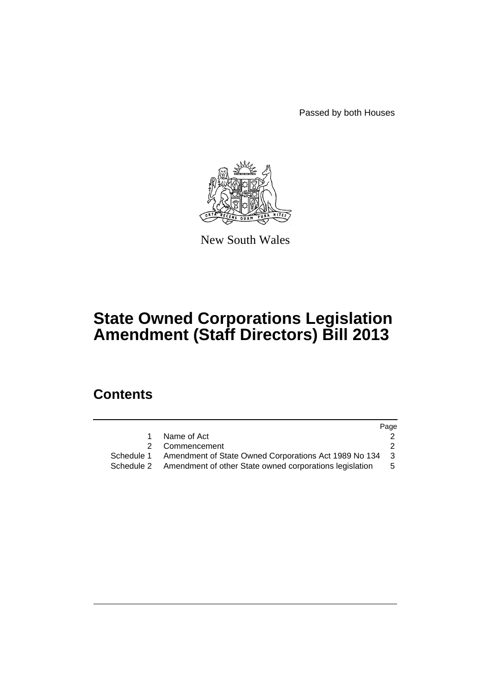Passed by both Houses



New South Wales

# **State Owned Corporations Legislation Amendment (Staff Directors) Bill 2013**

## **Contents**

|            |                                                         | Page |
|------------|---------------------------------------------------------|------|
|            | Name of Act                                             |      |
|            | 2 Commencement                                          |      |
| Schedule 1 | Amendment of State Owned Corporations Act 1989 No 134 3 |      |
| Schedule 2 | Amendment of other State owned corporations legislation | 5.   |
|            |                                                         |      |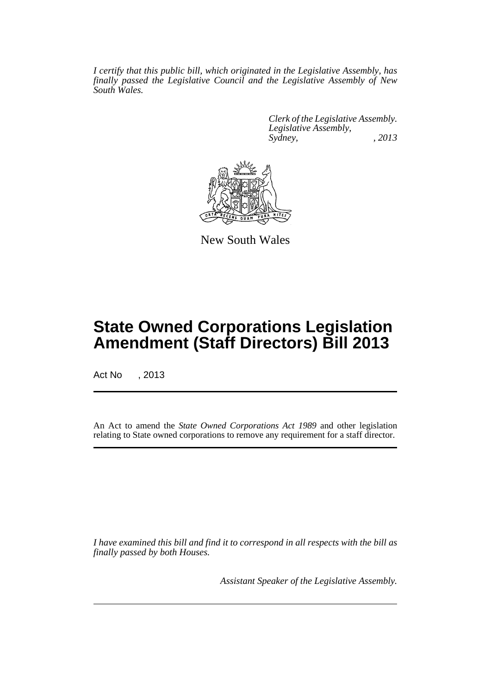*I certify that this public bill, which originated in the Legislative Assembly, has finally passed the Legislative Council and the Legislative Assembly of New South Wales.*

> *Clerk of the Legislative Assembly. Legislative Assembly, Sydney, , 2013*



New South Wales

# **State Owned Corporations Legislation Amendment (Staff Directors) Bill 2013**

Act No , 2013

An Act to amend the *State Owned Corporations Act 1989* and other legislation relating to State owned corporations to remove any requirement for a staff director.

*I have examined this bill and find it to correspond in all respects with the bill as finally passed by both Houses.*

*Assistant Speaker of the Legislative Assembly.*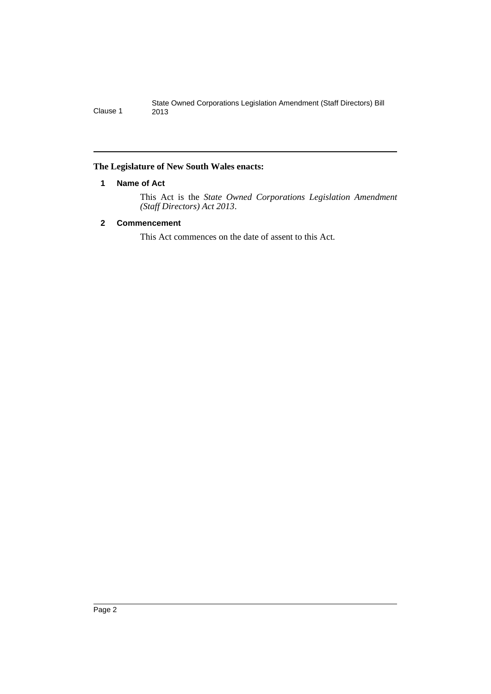### <span id="page-3-0"></span>**The Legislature of New South Wales enacts:**

#### **1 Name of Act**

This Act is the *State Owned Corporations Legislation Amendment (Staff Directors) Act 2013*.

### <span id="page-3-1"></span>**2 Commencement**

This Act commences on the date of assent to this Act.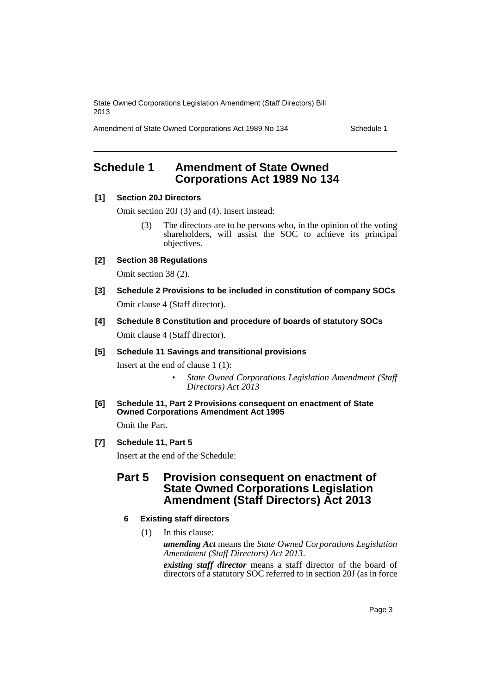Amendment of State Owned Corporations Act 1989 No 134 Schedule 1

### <span id="page-4-0"></span>**Schedule 1 Amendment of State Owned Corporations Act 1989 No 134**

### **[1] Section 20J Directors**

Omit section 20J (3) and (4). Insert instead:

(3) The directors are to be persons who, in the opinion of the voting shareholders, will assist the SOC to achieve its principal objectives.

### **[2] Section 38 Regulations**

Omit section 38 (2).

- **[3] Schedule 2 Provisions to be included in constitution of company SOCs** Omit clause 4 (Staff director).
- **[4] Schedule 8 Constitution and procedure of boards of statutory SOCs** Omit clause 4 (Staff director).

### **[5] Schedule 11 Savings and transitional provisions**

Insert at the end of clause 1 (1):

- *State Owned Corporations Legislation Amendment (Staff Directors) Act 2013*
- **[6] Schedule 11, Part 2 Provisions consequent on enactment of State Owned Corporations Amendment Act 1995**

Omit the Part.

### **[7] Schedule 11, Part 5**

Insert at the end of the Schedule:

### **Part 5 Provision consequent on enactment of State Owned Corporations Legislation Amendment (Staff Directors) Act 2013**

### **6 Existing staff directors**

(1) In this clause:

*amending Act* means the *State Owned Corporations Legislation Amendment (Staff Directors) Act 2013*.

*existing staff director* means a staff director of the board of directors of a statutory SOC referred to in section 20J (as in force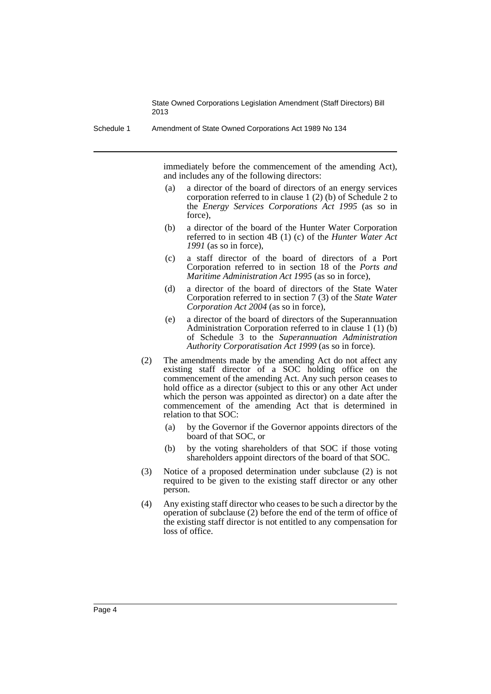Schedule 1 Amendment of State Owned Corporations Act 1989 No 134

immediately before the commencement of the amending Act), and includes any of the following directors:

- (a) a director of the board of directors of an energy services corporation referred to in clause 1 (2) (b) of Schedule 2 to the *Energy Services Corporations Act 1995* (as so in force),
- (b) a director of the board of the Hunter Water Corporation referred to in section 4B (1) (c) of the *Hunter Water Act 1991* (as so in force),
- (c) a staff director of the board of directors of a Port Corporation referred to in section 18 of the *Ports and Maritime Administration Act 1995* (as so in force),
- (d) a director of the board of directors of the State Water Corporation referred to in section 7 (3) of the *State Water Corporation Act 2004* (as so in force),
- (e) a director of the board of directors of the Superannuation Administration Corporation referred to in clause 1 (1) (b) of Schedule 3 to the *Superannuation Administration Authority Corporatisation Act 1999* (as so in force).
- (2) The amendments made by the amending Act do not affect any existing staff director of a SOC holding office on the commencement of the amending Act. Any such person ceases to hold office as a director (subject to this or any other Act under which the person was appointed as director) on a date after the commencement of the amending Act that is determined in relation to that SOC:
	- (a) by the Governor if the Governor appoints directors of the board of that SOC, or
	- (b) by the voting shareholders of that SOC if those voting shareholders appoint directors of the board of that SOC.
- (3) Notice of a proposed determination under subclause (2) is not required to be given to the existing staff director or any other person.
- (4) Any existing staff director who ceases to be such a director by the operation of subclause (2) before the end of the term of office of the existing staff director is not entitled to any compensation for loss of office.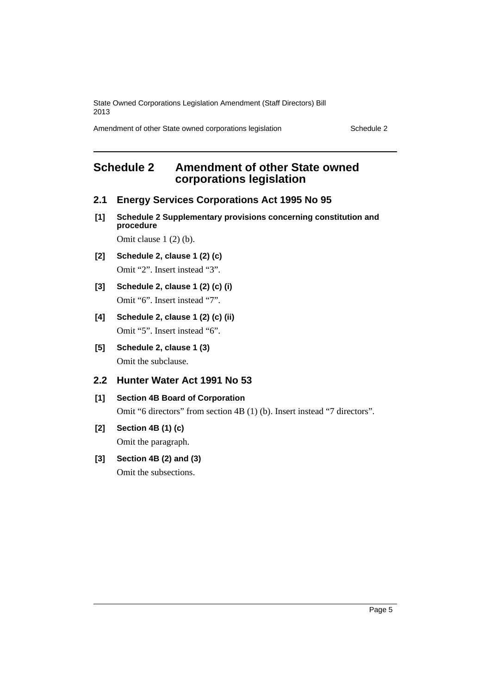Amendment of other State owned corporations legislation Schedule 2

### <span id="page-6-0"></span>**Schedule 2 Amendment of other State owned corporations legislation**

- **2.1 Energy Services Corporations Act 1995 No 95**
- **[1] Schedule 2 Supplementary provisions concerning constitution and procedure** Omit clause 1 (2) (b).
- **[2] Schedule 2, clause 1 (2) (c)** Omit "2". Insert instead "3".
- **[3] Schedule 2, clause 1 (2) (c) (i)** Omit "6". Insert instead "7".
- **[4] Schedule 2, clause 1 (2) (c) (ii)** Omit "5". Insert instead "6".
- **[5] Schedule 2, clause 1 (3)** Omit the subclause.

### **2.2 Hunter Water Act 1991 No 53**

### **[1] Section 4B Board of Corporation** Omit "6 directors" from section 4B (1) (b). Insert instead "7 directors".

**[2] Section 4B (1) (c)** Omit the paragraph.

## **[3] Section 4B (2) and (3)**

Omit the subsections.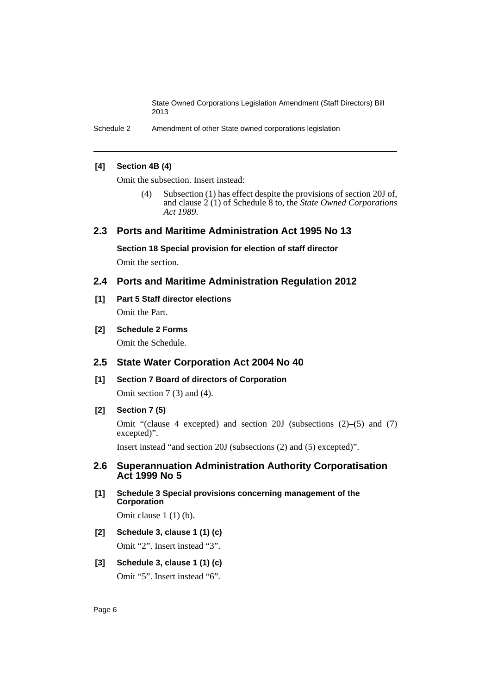Schedule 2 Amendment of other State owned corporations legislation

### **[4] Section 4B (4)**

Omit the subsection. Insert instead:

(4) Subsection (1) has effect despite the provisions of section 20J of, and clause 2 (1) of Schedule 8 to, the *State Owned Corporations Act 1989*.

### **2.3 Ports and Maritime Administration Act 1995 No 13**

**Section 18 Special provision for election of staff director** Omit the section.

### **2.4 Ports and Maritime Administration Regulation 2012**

- **[1] Part 5 Staff director elections** Omit the Part.
- **[2] Schedule 2 Forms**

Omit the Schedule.

### **2.5 State Water Corporation Act 2004 No 40**

**[1] Section 7 Board of directors of Corporation**

Omit section 7 (3) and (4).

### **[2] Section 7 (5)**

Omit "(clause 4 excepted) and section 20J (subsections (2)–(5) and (7) excepted)".

Insert instead "and section 20J (subsections (2) and (5) excepted)".

### **2.6 Superannuation Administration Authority Corporatisation Act 1999 No 5**

### **[1] Schedule 3 Special provisions concerning management of the Corporation**

Omit clause 1 (1) (b).

- **[2] Schedule 3, clause 1 (1) (c)** Omit "2". Insert instead "3".
- **[3] Schedule 3, clause 1 (1) (c)** Omit "5". Insert instead "6".